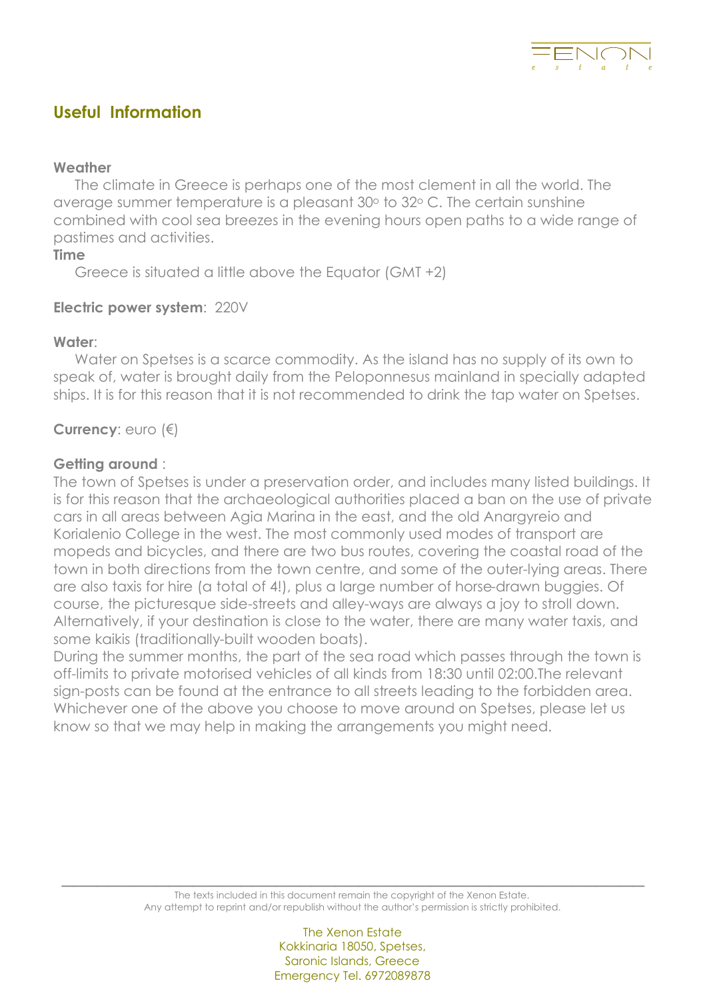

# **Useful Information**

#### **Weather**

The climate in Greece is perhaps one of the most clement in all the world. The average summer temperature is a pleasant 30ο to 32ο C. The certain sunshine combined with cool sea breezes in the evening hours open paths to a wide range of pastimes and activities.

**Time**<br>Greece is situated a little above the Equator (GMT +2)

#### **Electric power system**: 220V

#### **Water**:

Water on Spetses is a scarce commodity. As the island has no supply of its own to speak of, water is brought daily from the Peloponnesus mainland in specially adapted ships. It is for this reason that it is not recommended to drink the tap water on Spetses.

### **Currency**: euro (€)

#### **Getting around** :

The town of Spetses is under a preservation order, and includes many listed buildings. It is for this reason that the archaeological authorities placed a ban on the use of private cars in all areas between Agia Marina in the east, and the old Anargyreio and Korialenio College in the west. The most commonly used modes of transport are mopeds and bicycles, and there are two bus routes, covering the coastal road of the town in both directions from the town centre, and some of the outer-lying areas. There are also taxis for hire (a total of 4!), plus a large number of horse-drawn buggies. Of course, the picturesque side-streets and alley-ways are always a joy to stroll down. Alternatively, if your destination is close to the water, there are many water taxis, and some kaikis (traditionally-built wooden boats).

During the summer months, the part of the sea road which passes through the town is off-limits to private motorised vehicles of all kinds from 18:30 until 02:00.The relevant sign-posts can be found at the entrance to all streets leading to the forbidden area. Whichever one of the above you choose to move around on Spetses, please let us know so that we may help in making the arrangements you might need.

 $\overline{\phantom{a}}$  ,  $\overline{\phantom{a}}$  ,  $\overline{\phantom{a}}$  ,  $\overline{\phantom{a}}$  ,  $\overline{\phantom{a}}$  ,  $\overline{\phantom{a}}$  ,  $\overline{\phantom{a}}$  ,  $\overline{\phantom{a}}$  ,  $\overline{\phantom{a}}$  ,  $\overline{\phantom{a}}$  ,  $\overline{\phantom{a}}$  ,  $\overline{\phantom{a}}$  ,  $\overline{\phantom{a}}$  ,  $\overline{\phantom{a}}$  ,  $\overline{\phantom{a}}$  ,  $\overline{\phantom{a}}$ The texts included in this document remain the copyright of the Xenon Estate. Any attempt to reprint and/or republish without the author's permission is strictly prohibited.

> The Xenon Estate Kokkinaria 18050, Spetses, Saronic Islands, Greece Emergency Tel. 6972089878